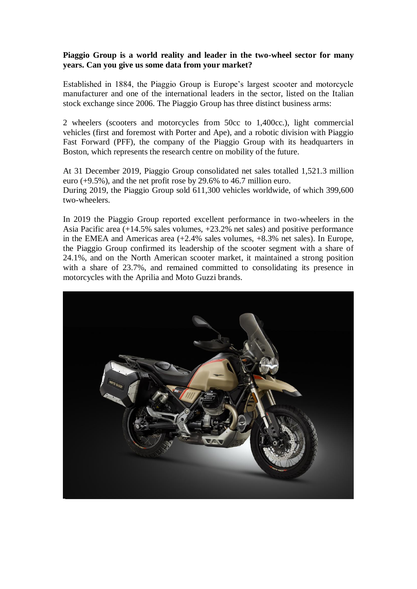## **Piaggio Group is a world reality and leader in the two-wheel sector for many years. Can you give us some data from your market?**

Established in 1884, the Piaggio Group is Europe's largest scooter and motorcycle manufacturer and one of the international leaders in the sector, listed on the Italian stock exchange since 2006. The Piaggio Group has three distinct business arms:

2 wheelers (scooters and motorcycles from 50cc to 1,400cc.), light commercial vehicles (first and foremost with Porter and Ape), and a robotic division with Piaggio Fast Forward (PFF), the company of the Piaggio Group with its headquarters in Boston, which represents the research centre on mobility of the future.

At 31 December 2019, Piaggio Group consolidated net sales totalled 1,521.3 million euro (+9.5%), and the net profit rose by 29.6% to 46.7 million euro. During 2019, the Piaggio Group sold 611,300 vehicles worldwide, of which 399,600 two-wheelers.

In 2019 the Piaggio Group reported excellent performance in two-wheelers in the Asia Pacific area (+14.5% sales volumes, +23.2% net sales) and positive performance in the EMEA and Americas area (+2.4% sales volumes, +8.3% net sales). In Europe, the Piaggio Group confirmed its leadership of the scooter segment with a share of 24.1%, and on the North American scooter market, it maintained a strong position with a share of 23.7%, and remained committed to consolidating its presence in motorcycles with the Aprilia and Moto Guzzi brands.